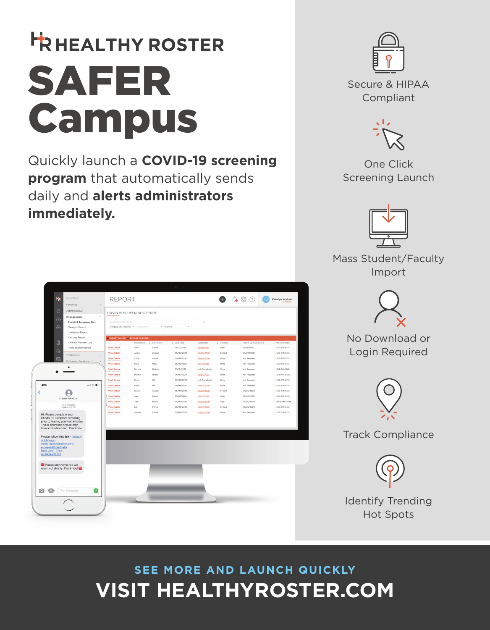# **FRHEALTHY ROSTER** SAFER Campus

Quickly launch a **COVID-19 screening program** that automatically sends daily and **alerts administrators immediately.** 





Compliant

One Click Screening Launch



Mass Student/Faculty Import



No Download or Login Required



Track Compliance



Identify Trending Hot Spots

## **VISIT HEALTHYROSTER.COM SEE MORE AND LAUNCH QUICKLY**

| H <sub>R</sub><br><b>REPORT</b><br>Favorites<br>$\Delta$<br>슶<br>Administative<br>$\lambda$<br>$\ddot{\phantom{0}}$<br>Engagement<br>$\delta$<br>Covid-19 Screening Re<br>墨<br>Manager Report<br>Invitations Report                                                                                                                                                                                              | <b>REPORT</b><br>$^{(2)}$<br>- 《아<br>Katelyn Walters<br>FOOT PROPILE<br>COVID-19 SCREENING REPORT<br>Search for an employee.<br>p<br>$\star$<br>Company ADC - industrial All departments<br>* Show All                                                                                                                                                                                                                                                                   |                                                                                                                                      |                                                                                                                                                                                                   |                                                                                                                                                                                                         |                                                                                                                               |                                                                                                                                                                                                                           |                                                                                                                                                                                                                                                                    |
|------------------------------------------------------------------------------------------------------------------------------------------------------------------------------------------------------------------------------------------------------------------------------------------------------------------------------------------------------------------------------------------------------------------|--------------------------------------------------------------------------------------------------------------------------------------------------------------------------------------------------------------------------------------------------------------------------------------------------------------------------------------------------------------------------------------------------------------------------------------------------------------------------|--------------------------------------------------------------------------------------------------------------------------------------|---------------------------------------------------------------------------------------------------------------------------------------------------------------------------------------------------|---------------------------------------------------------------------------------------------------------------------------------------------------------------------------------------------------------|-------------------------------------------------------------------------------------------------------------------------------|---------------------------------------------------------------------------------------------------------------------------------------------------------------------------------------------------------------------------|--------------------------------------------------------------------------------------------------------------------------------------------------------------------------------------------------------------------------------------------------------------------|
| Call Log Report<br>₿<br>Callback Request Log<br>Injury Station Report<br>$\circ$<br>Treatments<br>$\square$<br>Follow-up Services<br>4:15<br>$   \widehat{\mathbf{v}}   $<br>K<br>$+1(614)364 - 4573$<br><b>Text Message</b><br>Today 4:15 PM<br>Hi. Please complete your<br>COVID-19 symptom screening<br>prior to leaving your home today<br>This is short and should only<br>take a minute or two. Thank You. | <b>CEXPORT TO PDF CEXPORT TO EXCEL</b><br>First Name<br><b>View Details</b><br>Alexa<br><b>View Details</b><br>Angie<br><b>View Details</b><br>Carly<br><b>View Details</b><br>Catie<br><b>Send Survey</b><br>Dennis<br><b>View Details</b><br>Dennis<br>Send Survey<br>Drew<br><b>View Details</b><br>Emily<br><b>View Details</b><br>Grace<br><b>View Details</b><br>Joe<br><b>View Details</b><br>John<br><b>View Details</b><br>Liz<br><b>View Details</b><br>Steven | Last Name<br>Levick<br>Zemba<br>Levick<br>Hess<br>Riviano<br>Heinle<br>Hill<br>Hill<br>Sturmb<br>Exotic<br>Boyer<br>Porter<br>Levick | 1 Last Sent<br>05/12/2020<br>05/05/2020<br>05/05/2020<br>05/07/2020<br>05/12/2020<br>05/07/2020<br>05/05/2020<br>05/05/2020<br>05/05/2020<br>05/07/2020<br>05/05/2020<br>05/05/2020<br>05/05/2020 | 1 Completed<br>05/12/2020<br>05/05/2020<br>05/05/2020<br>05/07/2020<br>Not Completed<br>05/07/2020<br>Not Completed<br>05/05/2020<br>05/05/2020<br>05/07/2020<br>05/05/2020<br>05/05/2020<br>05/05/2020 | 1 Urgency<br>High<br>Critical<br>None<br>None<br>None<br>None<br>None<br>None<br>Critical<br>High<br>High<br>Critical<br>None | I Follow Up Completed<br>05/12/2020<br>05/07/2020<br>Not Required<br>Not Required<br>Not Required<br>Not Required<br>Not Required<br>Not Required<br>05/05/2020<br>05/07/2020<br>05/05/2020<br>05/05/2020<br>Not Required | 1 Phone Number<br>(513) 378-8133<br>(513) 378-8133<br>(513) 378-8133<br>(513) 378-8133<br>$(614) 981 - 1648$<br>$(314)$ 413-0399<br>(513) 378-8133<br>$(513)$ 378-8133<br>(513) 378-8133<br>$(513)$ 378-8133<br>(937) 684-0429<br>(513) 378-8133<br>(513) 378-8133 |
| Please follow this link - https://<br>public-api-<br>demo.healthyroster.com/<br>surveys/655e41e6-<br>f189-4c11-87cc-<br>ebd9d2a326bf<br>Please stay home; we will<br>reach out shortly. Thank You!<br>G<br>$\epsilon$<br>Text Message<br>$\overline{\circ}$                                                                                                                                                      |                                                                                                                                                                                                                                                                                                                                                                                                                                                                          |                                                                                                                                      |                                                                                                                                                                                                   |                                                                                                                                                                                                         |                                                                                                                               |                                                                                                                                                                                                                           |                                                                                                                                                                                                                                                                    |